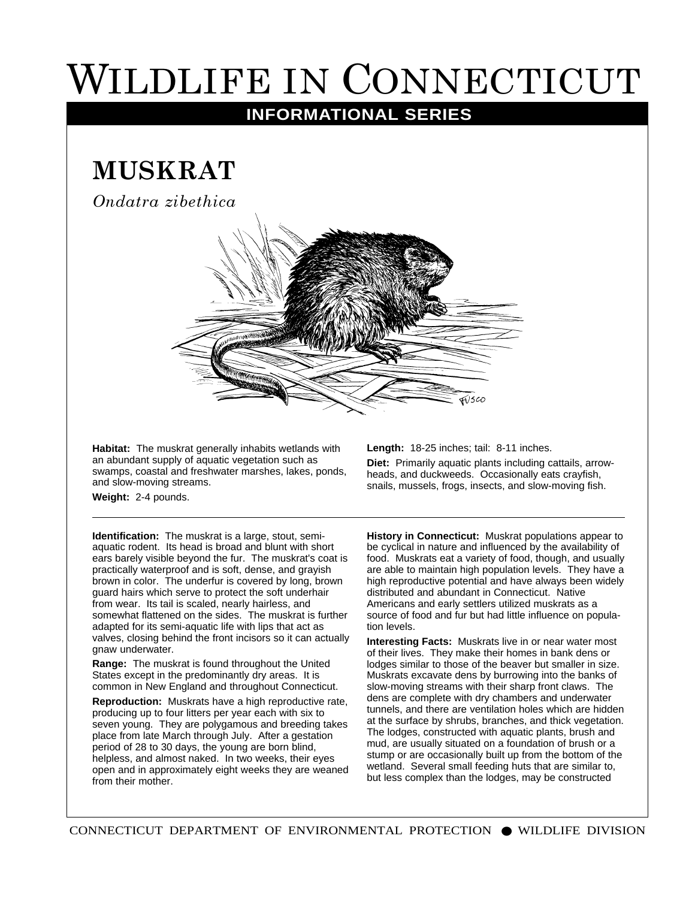## WILDLIFE IN CONNECTICUT

## **INFORMATIONAL SERIES**

## **MUSKRAT**

*Ondatra zibethica*



**Habitat:** The muskrat generally inhabits wetlands with an abundant supply of aquatic vegetation such as swamps, coastal and freshwater marshes, lakes, ponds, and slow-moving streams.

**Length:** 18-25 inches; tail: 8-11 inches.

**Diet:** Primarily aquatic plants including cattails, arrowheads, and duckweeds. Occasionally eats crayfish, snails, mussels, frogs, insects, and slow-moving fish.

**Weight:** 2-4 pounds.

**Identification:** The muskrat is a large, stout, semiaquatic rodent. Its head is broad and blunt with short ears barely visible beyond the fur. The muskrat's coat is practically waterproof and is soft, dense, and grayish brown in color. The underfur is covered by long, brown guard hairs which serve to protect the soft underhair from wear. Its tail is scaled, nearly hairless, and somewhat flattened on the sides. The muskrat is further adapted for its semi-aquatic life with lips that act as valves, closing behind the front incisors so it can actually gnaw underwater.

**Range:** The muskrat is found throughout the United States except in the predominantly dry areas. It is common in New England and throughout Connecticut.

**Reproduction:** Muskrats have a high reproductive rate, producing up to four litters per year each with six to seven young. They are polygamous and breeding takes place from late March through July. After a gestation period of 28 to 30 days, the young are born blind, helpless, and almost naked. In two weeks, their eyes open and in approximately eight weeks they are weaned from their mother.

**History in Connecticut:** Muskrat populations appear to be cyclical in nature and influenced by the availability of food. Muskrats eat a variety of food, though, and usually are able to maintain high population levels. They have a high reproductive potential and have always been widely distributed and abundant in Connecticut. Native Americans and early settlers utilized muskrats as a source of food and fur but had little influence on population levels.

**Interesting Facts:** Muskrats live in or near water most of their lives. They make their homes in bank dens or lodges similar to those of the beaver but smaller in size. Muskrats excavate dens by burrowing into the banks of slow-moving streams with their sharp front claws. The dens are complete with dry chambers and underwater tunnels, and there are ventilation holes which are hidden at the surface by shrubs, branches, and thick vegetation. The lodges, constructed with aquatic plants, brush and mud, are usually situated on a foundation of brush or a stump or are occasionally built up from the bottom of the wetland. Several small feeding huts that are similar to, but less complex than the lodges, may be constructed